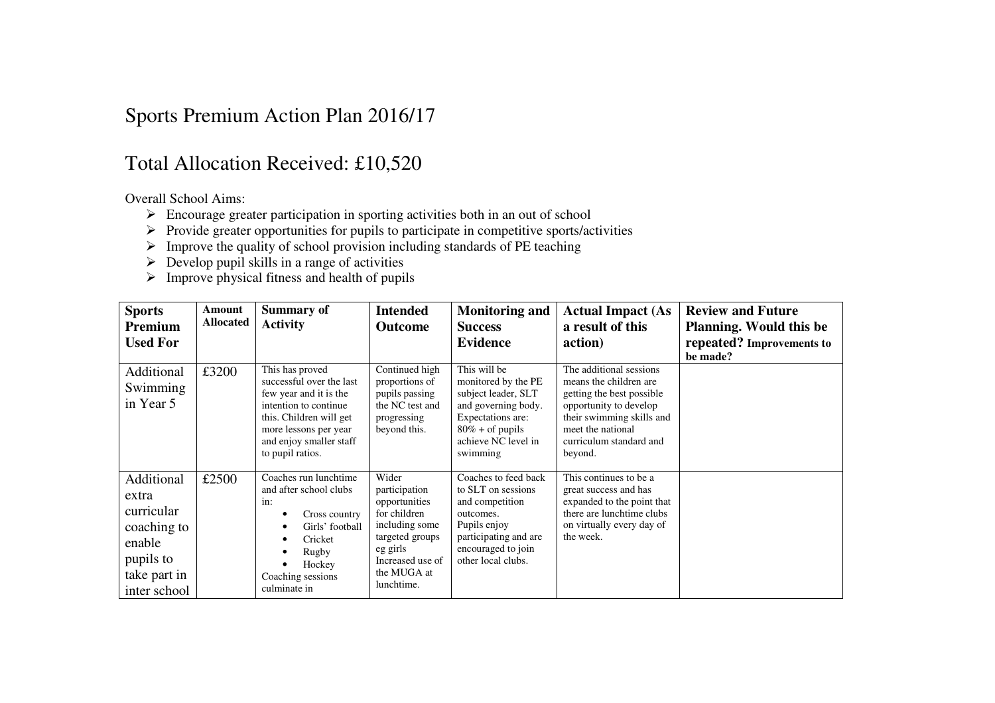## Sports Premium Action Plan 2016/17

## Total Allocation Received: £10,520

Overall School Aims:

- $\geq$  Encourage greater participation in sporting activities both in an out of school
- Provide greater opportunities for pupils to participate in competitive sports/activities
- Improve the quality of school provision including standards of PE teaching
- $\triangleright$  Develop pupil skills in a range of activities
- $\triangleright$  Improve physical fitness and health of pupils

| <b>Sports</b><br>Premium<br><b>Used For</b>                                                             | Amount<br><b>Allocated</b> | <b>Summary of</b><br><b>Activity</b>                                                                                                                                                              | <b>Intended</b><br><b>Outcome</b>                                                                                                                         | <b>Monitoring and</b><br><b>Success</b><br><b>Evidence</b>                                                                                                      | <b>Actual Impact (As</b><br>a result of this<br>action)                                                                                                                                          | <b>Review and Future</b><br><b>Planning.</b> Would this be<br>repeated? Improvements to |
|---------------------------------------------------------------------------------------------------------|----------------------------|---------------------------------------------------------------------------------------------------------------------------------------------------------------------------------------------------|-----------------------------------------------------------------------------------------------------------------------------------------------------------|-----------------------------------------------------------------------------------------------------------------------------------------------------------------|--------------------------------------------------------------------------------------------------------------------------------------------------------------------------------------------------|-----------------------------------------------------------------------------------------|
| Additional<br>Swimming<br>in Year 5                                                                     | £3200                      | This has proved<br>successful over the last<br>few year and it is the<br>intention to continue<br>this. Children will get<br>more lessons per year<br>and enjoy smaller staff<br>to pupil ratios. | Continued high<br>proportions of<br>pupils passing<br>the NC test and<br>progressing<br>beyond this.                                                      | This will be<br>monitored by the PE<br>subject leader, SLT<br>and governing body.<br>Expectations are:<br>$80\%$ + of pupils<br>achieve NC level in<br>swimming | The additional sessions<br>means the children are<br>getting the best possible<br>opportunity to develop<br>their swimming skills and<br>meet the national<br>curriculum standard and<br>beyond. | be made?                                                                                |
| Additional<br>extra<br>curricular<br>coaching to<br>enable<br>pupils to<br>take part in<br>inter school | £2500                      | Coaches run lunchtime<br>and after school clubs<br>in:<br>Cross country<br>Girls' football<br>Cricket<br>Rugby<br>Hockey<br>Coaching sessions<br>culminate in                                     | Wider<br>participation<br>opportunities<br>for children<br>including some<br>targeted groups<br>eg girls<br>Increased use of<br>the MUGA at<br>lunchtime. | Coaches to feed back<br>to SLT on sessions<br>and competition<br>outcomes.<br>Pupils enjoy<br>participating and are<br>encouraged to join<br>other local clubs. | This continues to be a<br>great success and has<br>expanded to the point that<br>there are lunchtime clubs<br>on virtually every day of<br>the week.                                             |                                                                                         |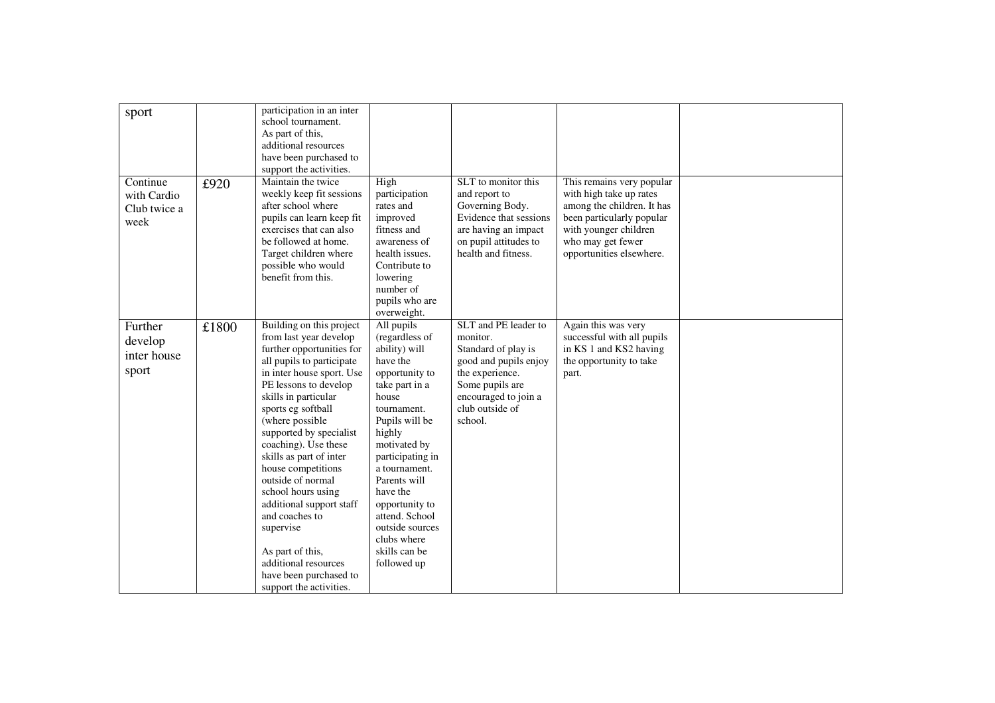| sport                                           |       | participation in an inter<br>school tournament.<br>As part of this,<br>additional resources<br>have been purchased to<br>support the activities.                                                                                                                                                                                                                                                                                                                                                                                               |                                                                                                                                                                                                                                                                                                                                          |                                                                                                                                                                              |                                                                                                                                                                                           |  |
|-------------------------------------------------|-------|------------------------------------------------------------------------------------------------------------------------------------------------------------------------------------------------------------------------------------------------------------------------------------------------------------------------------------------------------------------------------------------------------------------------------------------------------------------------------------------------------------------------------------------------|------------------------------------------------------------------------------------------------------------------------------------------------------------------------------------------------------------------------------------------------------------------------------------------------------------------------------------------|------------------------------------------------------------------------------------------------------------------------------------------------------------------------------|-------------------------------------------------------------------------------------------------------------------------------------------------------------------------------------------|--|
| Continue<br>with Cardio<br>Club twice a<br>week | £920  | Maintain the twice<br>weekly keep fit sessions<br>after school where<br>pupils can learn keep fit<br>exercises that can also<br>be followed at home.<br>Target children where<br>possible who would<br>benefit from this.                                                                                                                                                                                                                                                                                                                      | High<br>participation<br>rates and<br>improved<br>fitness and<br>awareness of<br>health issues.<br>Contribute to<br>lowering<br>number of<br>pupils who are<br>overweight.                                                                                                                                                               | SLT to monitor this<br>and report to<br>Governing Body.<br>Evidence that sessions<br>are having an impact<br>on pupil attitudes to<br>health and fitness.                    | This remains very popular<br>with high take up rates<br>among the children. It has<br>been particularly popular<br>with younger children<br>who may get fewer<br>opportunities elsewhere. |  |
| Further<br>develop<br>inter house<br>sport      | £1800 | Building on this project<br>from last year develop<br>further opportunities for<br>all pupils to participate<br>in inter house sport. Use<br>PE lessons to develop<br>skills in particular<br>sports eg softball<br>(where possible<br>supported by specialist<br>coaching). Use these<br>skills as part of inter<br>house competitions<br>outside of normal<br>school hours using<br>additional support staff<br>and coaches to<br>supervise<br>As part of this,<br>additional resources<br>have been purchased to<br>support the activities. | All pupils<br>(regardless of<br>ability) will<br>have the<br>opportunity to<br>take part in a<br>house<br>tournament.<br>Pupils will be<br>highly<br>motivated by<br>participating in<br>a tournament.<br>Parents will<br>have the<br>opportunity to<br>attend. School<br>outside sources<br>clubs where<br>skills can be<br>followed up | SLT and PE leader to<br>monitor.<br>Standard of play is<br>good and pupils enjoy<br>the experience.<br>Some pupils are<br>encouraged to join a<br>club outside of<br>school. | Again this was very<br>successful with all pupils<br>in KS 1 and KS2 having<br>the opportunity to take<br>part.                                                                           |  |